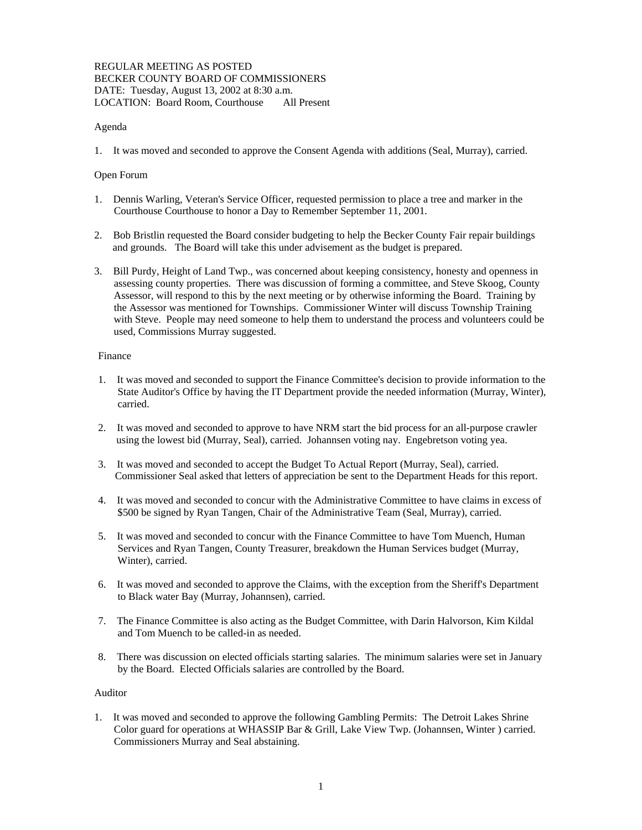### REGULAR MEETING AS POSTED BECKER COUNTY BOARD OF COMMISSIONERS DATE: Tuesday, August 13, 2002 at 8:30 a.m. LOCATION: Board Room, Courthouse All Present

# Agenda

1. It was moved and seconded to approve the Consent Agenda with additions (Seal, Murray), carried.

### Open Forum

- 1. Dennis Warling, Veteran's Service Officer, requested permission to place a tree and marker in the Courthouse Courthouse to honor a Day to Remember September 11, 2001.
- 2. Bob Bristlin requested the Board consider budgeting to help the Becker County Fair repair buildings and grounds. The Board will take this under advisement as the budget is prepared.
- 3. Bill Purdy, Height of Land Twp., was concerned about keeping consistency, honesty and openness in assessing county properties. There was discussion of forming a committee, and Steve Skoog, County Assessor, will respond to this by the next meeting or by otherwise informing the Board. Training by the Assessor was mentioned for Townships. Commissioner Winter will discuss Township Training with Steve. People may need someone to help them to understand the process and volunteers could be used, Commissions Murray suggested.

### Finance

- 1. It was moved and seconded to support the Finance Committee's decision to provide information to the State Auditor's Office by having the IT Department provide the needed information (Murray, Winter), carried.
- 2. It was moved and seconded to approve to have NRM start the bid process for an all-purpose crawler using the lowest bid (Murray, Seal), carried. Johannsen voting nay. Engebretson voting yea.
- 3. It was moved and seconded to accept the Budget To Actual Report (Murray, Seal), carried. Commissioner Seal asked that letters of appreciation be sent to the Department Heads for this report.
- 4. It was moved and seconded to concur with the Administrative Committee to have claims in excess of \$500 be signed by Ryan Tangen, Chair of the Administrative Team (Seal, Murray), carried.
- 5. It was moved and seconded to concur with the Finance Committee to have Tom Muench, Human Services and Ryan Tangen, County Treasurer, breakdown the Human Services budget (Murray, Winter), carried.
- 6. It was moved and seconded to approve the Claims, with the exception from the Sheriff's Department to Black water Bay (Murray, Johannsen), carried.
- 7. The Finance Committee is also acting as the Budget Committee, with Darin Halvorson, Kim Kildal and Tom Muench to be called-in as needed.
- 8. There was discussion on elected officials starting salaries. The minimum salaries were set in January by the Board. Elected Officials salaries are controlled by the Board.

# Auditor

1. It was moved and seconded to approve the following Gambling Permits: The Detroit Lakes Shrine Color guard for operations at WHASSIP Bar & Grill, Lake View Twp. (Johannsen, Winter ) carried. Commissioners Murray and Seal abstaining.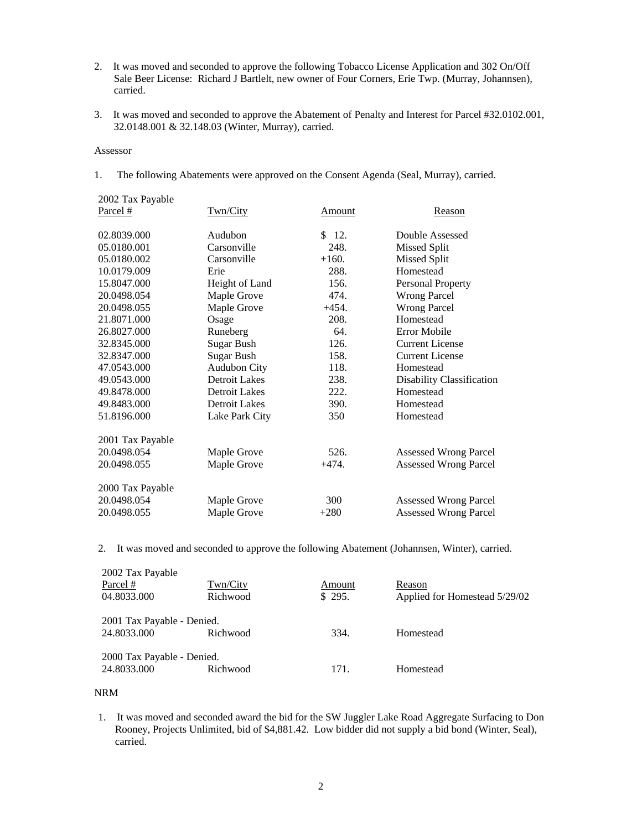- 2. It was moved and seconded to approve the following Tobacco License Application and 302 On/Off Sale Beer License: Richard J Bartlelt, new owner of Four Corners, Erie Twp. (Murray, Johannsen), carried.
- 3. It was moved and seconded to approve the Abatement of Penalty and Interest for Parcel #32.0102.001, 32.0148.001 & 32.148.03 (Winter, Murray), carried.

#### Assessor

1. The following Abatements were approved on the Consent Agenda (Seal, Murray), carried.

| 2002 Tax Payable |                      |         |                              |
|------------------|----------------------|---------|------------------------------|
| Parcel #         | Twn/City             | Amount  | Reason                       |
| 02.8039.000      | Audubon              | \$12.   | Double Assessed              |
| 05.0180.001      | Carsonville          | 248.    | <b>Missed Split</b>          |
| 05.0180.002      | Carsonville          | $+160.$ | <b>Missed Split</b>          |
| 10.0179.009      | Erie                 | 288.    | Homestead                    |
| 15.8047.000      | Height of Land       | 156.    | <b>Personal Property</b>     |
| 20.0498.054      | Maple Grove          | 474.    | <b>Wrong Parcel</b>          |
| 20.0498.055      | Maple Grove          | $+454.$ | <b>Wrong Parcel</b>          |
| 21.8071.000      | Osage                | 208.    | Homestead                    |
| 26.8027.000      | Runeberg             | 64.     | Error Mobile                 |
| 32.8345.000      | <b>Sugar Bush</b>    | 126.    | <b>Current License</b>       |
| 32.8347.000      | Sugar Bush           | 158.    | <b>Current License</b>       |
| 47.0543.000      | <b>Audubon City</b>  | 118.    | Homestead                    |
| 49.0543.000      | <b>Detroit Lakes</b> | 238.    | Disability Classification    |
| 49.8478.000      | <b>Detroit Lakes</b> | 222.    | Homestead                    |
| 49.8483.000      | <b>Detroit Lakes</b> | 390.    | Homestead                    |
| 51.8196.000      | Lake Park City       | 350     | Homestead                    |
| 2001 Tax Payable |                      |         |                              |
| 20.0498.054      | Maple Grove          | 526.    | <b>Assessed Wrong Parcel</b> |
| 20.0498.055      | Maple Grove          | $+474.$ | <b>Assessed Wrong Parcel</b> |
| 2000 Tax Payable |                      |         |                              |
| 20.0498.054      | Maple Grove          | 300     | <b>Assessed Wrong Parcel</b> |
| 20.0498.055      | Maple Grove          | $+280$  | <b>Assessed Wrong Parcel</b> |

2. It was moved and seconded to approve the following Abatement (Johannsen, Winter), carried.

| 2002 Tax Payable<br>Parcel #<br>04.8033.000 | Twn/City<br>Richwood | Amount<br>\$295. | Reason<br>Applied for Homestead 5/29/02 |
|---------------------------------------------|----------------------|------------------|-----------------------------------------|
| 2001 Tax Payable - Denied.<br>24.8033.000   | Richwood             | 334.             | Homestead                               |
| 2000 Tax Payable - Denied.<br>24.8033.000   | Richwood             | 171.             | Homestead                               |

NRM

1. It was moved and seconded award the bid for the SW Juggler Lake Road Aggregate Surfacing to Don Rooney, Projects Unlimited, bid of \$4,881.42. Low bidder did not supply a bid bond (Winter, Seal), carried.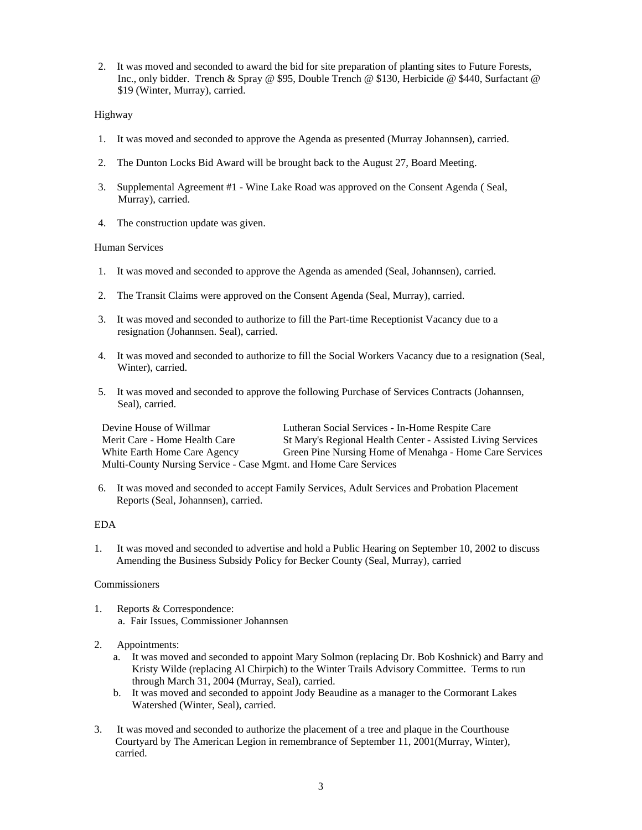2. It was moved and seconded to award the bid for site preparation of planting sites to Future Forests, Inc., only bidder. Trench & Spray @ \$95, Double Trench @ \$130, Herbicide @ \$440, Surfactant @ \$19 (Winter, Murray), carried.

# Highway

- 1. It was moved and seconded to approve the Agenda as presented (Murray Johannsen), carried.
- 2. The Dunton Locks Bid Award will be brought back to the August 27, Board Meeting.
- 3. Supplemental Agreement #1 Wine Lake Road was approved on the Consent Agenda ( Seal, Murray), carried.
- 4. The construction update was given.

### Human Services

- 1. It was moved and seconded to approve the Agenda as amended (Seal, Johannsen), carried.
- 2. The Transit Claims were approved on the Consent Agenda (Seal, Murray), carried.
- 3. It was moved and seconded to authorize to fill the Part-time Receptionist Vacancy due to a resignation (Johannsen. Seal), carried.
- 4. It was moved and seconded to authorize to fill the Social Workers Vacancy due to a resignation (Seal, Winter), carried.
- 5. It was moved and seconded to approve the following Purchase of Services Contracts (Johannsen, Seal), carried.

Devine House of Willmar Lutheran Social Services - In-Home Respite Care Merit Care - Home Health Care St Mary's Regional Health Center - Assisted Living Services White Earth Home Care Agency Green Pine Nursing Home of Menahga - Home Care Services Multi-County Nursing Service - Case Mgmt. and Home Care Services

6. It was moved and seconded to accept Family Services, Adult Services and Probation Placement Reports (Seal, Johannsen), carried.

### EDA

1. It was moved and seconded to advertise and hold a Public Hearing on September 10, 2002 to discuss Amending the Business Subsidy Policy for Becker County (Seal, Murray), carried

### Commissioners

1. Reports & Correspondence: a. Fair Issues, Commissioner Johannsen

# 2. Appointments:

- a. It was moved and seconded to appoint Mary Solmon (replacing Dr. Bob Koshnick) and Barry and Kristy Wilde (replacing Al Chirpich) to the Winter Trails Advisory Committee. Terms to run through March 31, 2004 (Murray, Seal), carried.
- b. It was moved and seconded to appoint Jody Beaudine as a manager to the Cormorant Lakes Watershed (Winter, Seal), carried.
- 3. It was moved and seconded to authorize the placement of a tree and plaque in the Courthouse Courtyard by The American Legion in remembrance of September 11, 2001(Murray, Winter), carried.